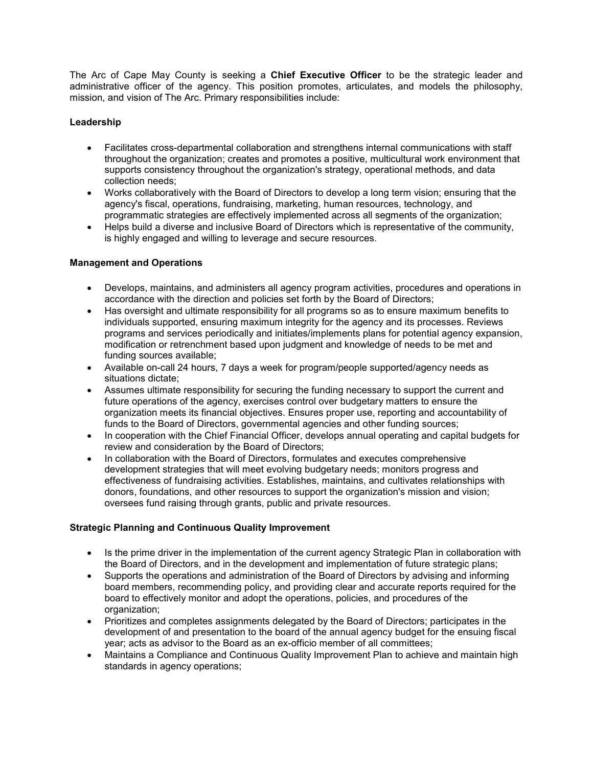The Arc of Cape May County is seeking a **Chief Executive Officer** to be the strategic leader and administrative officer of the agency. This position promotes, articulates, and models the philosophy, mission, and vision of The Arc. Primary responsibilities include:

# **Leadership**

- Facilitates cross-departmental collaboration and strengthens internal communications with staff throughout the organization; creates and promotes a positive, multicultural work environment that supports consistency throughout the organization's strategy, operational methods, and data collection needs;
- Works collaboratively with the Board of Directors to develop a long term vision; ensuring that the agency's fiscal, operations, fundraising, marketing, human resources, technology, and programmatic strategies are effectively implemented across all segments of the organization;
- Helps build a diverse and inclusive Board of Directors which is representative of the community, is highly engaged and willing to leverage and secure resources.

## **Management and Operations**

- Develops, maintains, and administers all agency program activities, procedures and operations in accordance with the direction and policies set forth by the Board of Directors;
- Has oversight and ultimate responsibility for all programs so as to ensure maximum benefits to individuals supported, ensuring maximum integrity for the agency and its processes. Reviews programs and services periodically and initiates/implements plans for potential agency expansion, modification or retrenchment based upon judgment and knowledge of needs to be met and funding sources available;
- Available on-call 24 hours, 7 days a week for program/people supported/agency needs as situations dictate;
- Assumes ultimate responsibility for securing the funding necessary to support the current and future operations of the agency, exercises control over budgetary matters to ensure the organization meets its financial objectives. Ensures proper use, reporting and accountability of funds to the Board of Directors, governmental agencies and other funding sources;
- In cooperation with the Chief Financial Officer, develops annual operating and capital budgets for review and consideration by the Board of Directors;
- In collaboration with the Board of Directors, formulates and executes comprehensive development strategies that will meet evolving budgetary needs; monitors progress and effectiveness of fundraising activities. Establishes, maintains, and cultivates relationships with donors, foundations, and other resources to support the organization's mission and vision; oversees fund raising through grants, public and private resources.

## **Strategic Planning and Continuous Quality Improvement**

- Is the prime driver in the implementation of the current agency Strategic Plan in collaboration with the Board of Directors, and in the development and implementation of future strategic plans;
- Supports the operations and administration of the Board of Directors by advising and informing board members, recommending policy, and providing clear and accurate reports required for the board to effectively monitor and adopt the operations, policies, and procedures of the organization;
- Prioritizes and completes assignments delegated by the Board of Directors; participates in the development of and presentation to the board of the annual agency budget for the ensuing fiscal year; acts as advisor to the Board as an ex-officio member of all committees;
- Maintains a Compliance and Continuous Quality Improvement Plan to achieve and maintain high standards in agency operations;